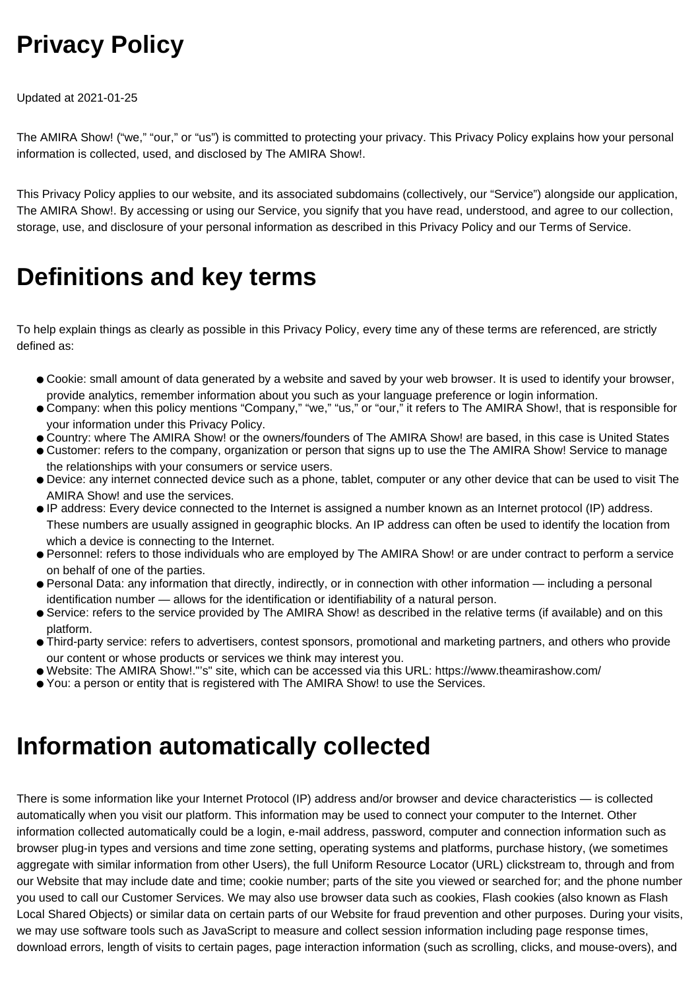## **Privacy Policy**

Updated at 2021-01-25

The AMIRA Show! ("we," "our," or "us") is committed to protecting your privacy. This Privacy Policy explains how your personal information is collected, used, and disclosed by The AMIRA Show!.

This Privacy Policy applies to our website, and its associated subdomains (collectively, our "Service") alongside our application, The AMIRA Show!. By accessing or using our Service, you signify that you have read, understood, and agree to our collection, storage, use, and disclosure of your personal information as described in this Privacy Policy and our Terms of Service.

#### **Definitions and key terms**

To help explain things as clearly as possible in this Privacy Policy, every time any of these terms are referenced, are strictly defined as:

- Cookie: small amount of data generated by a website and saved by your web browser. It is used to identify your browser, provide analytics, remember information about you such as your language preference or login information.
- Company: when this policy mentions "Company," "we," "us," or "our," it refers to The AMIRA Show!, that is responsible for your information under this Privacy Policy.
- Country: where The AMIRA Show! or the owners/founders of The AMIRA Show! are based, in this case is United States
- Customer: refers to the company, organization or person that signs up to use the The AMIRA Show! Service to manage the relationships with your consumers or service users.
- Device: any internet connected device such as a phone, tablet, computer or any other device that can be used to visit The AMIRA Show! and use the services.
- IP address: Every device connected to the Internet is assigned a number known as an Internet protocol (IP) address. These numbers are usually assigned in geographic blocks. An IP address can often be used to identify the location from which a device is connecting to the Internet.
- Personnel: refers to those individuals who are employed by The AMIRA Show! or are under contract to perform a service on behalf of one of the parties.
- Personal Data: any information that directly, indirectly, or in connection with other information including a personal identification number — allows for the identification or identifiability of a natural person.
- Service: refers to the service provided by The AMIRA Show! as described in the relative terms (if available) and on this platform.
- Third-party service: refers to advertisers, contest sponsors, promotional and marketing partners, and others who provide our content or whose products or services we think may interest you.
- Website: The AMIRA Show!."'s" site, which can be accessed via this URL: https://www.theamirashow.com/
- You: a person or entity that is registered with The AMIRA Show! to use the Services.

#### **Information automatically collected**

There is some information like your Internet Protocol (IP) address and/or browser and device characteristics — is collected automatically when you visit our platform. This information may be used to connect your computer to the Internet. Other information collected automatically could be a login, e-mail address, password, computer and connection information such as browser plug-in types and versions and time zone setting, operating systems and platforms, purchase history, (we sometimes aggregate with similar information from other Users), the full Uniform Resource Locator (URL) clickstream to, through and from our Website that may include date and time; cookie number; parts of the site you viewed or searched for; and the phone number you used to call our Customer Services. We may also use browser data such as cookies, Flash cookies (also known as Flash Local Shared Objects) or similar data on certain parts of our Website for fraud prevention and other purposes. During your visits, we may use software tools such as JavaScript to measure and collect session information including page response times, download errors, length of visits to certain pages, page interaction information (such as scrolling, clicks, and mouse-overs), and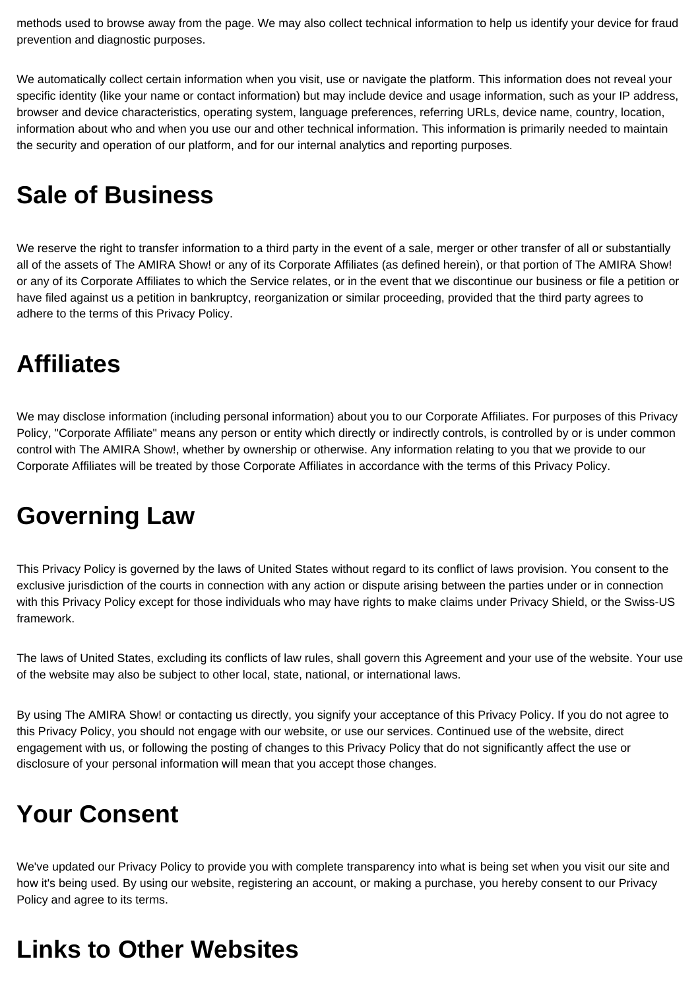methods used to browse away from the page. We may also collect technical information to help us identify your device for fraud prevention and diagnostic purposes.

We automatically collect certain information when you visit, use or navigate the platform. This information does not reveal your specific identity (like your name or contact information) but may include device and usage information, such as your IP address, browser and device characteristics, operating system, language preferences, referring URLs, device name, country, location, information about who and when you use our and other technical information. This information is primarily needed to maintain the security and operation of our platform, and for our internal analytics and reporting purposes.

#### **Sale of Business**

We reserve the right to transfer information to a third party in the event of a sale, merger or other transfer of all or substantially all of the assets of The AMIRA Show! or any of its Corporate Affiliates (as defined herein), or that portion of The AMIRA Show! or any of its Corporate Affiliates to which the Service relates, or in the event that we discontinue our business or file a petition or have filed against us a petition in bankruptcy, reorganization or similar proceeding, provided that the third party agrees to adhere to the terms of this Privacy Policy.

#### **Affiliates**

We may disclose information (including personal information) about you to our Corporate Affiliates. For purposes of this Privacy Policy, "Corporate Affiliate" means any person or entity which directly or indirectly controls, is controlled by or is under common control with The AMIRA Show!, whether by ownership or otherwise. Any information relating to you that we provide to our Corporate Affiliates will be treated by those Corporate Affiliates in accordance with the terms of this Privacy Policy.

## **Governing Law**

This Privacy Policy is governed by the laws of United States without regard to its conflict of laws provision. You consent to the exclusive jurisdiction of the courts in connection with any action or dispute arising between the parties under or in connection with this Privacy Policy except for those individuals who may have rights to make claims under Privacy Shield, or the Swiss-US framework.

The laws of United States, excluding its conflicts of law rules, shall govern this Agreement and your use of the website. Your use of the website may also be subject to other local, state, national, or international laws.

By using The AMIRA Show! or contacting us directly, you signify your acceptance of this Privacy Policy. If you do not agree to this Privacy Policy, you should not engage with our website, or use our services. Continued use of the website, direct engagement with us, or following the posting of changes to this Privacy Policy that do not significantly affect the use or disclosure of your personal information will mean that you accept those changes.

#### **Your Consent**

We've updated our Privacy Policy to provide you with complete transparency into what is being set when you visit our site and how it's being used. By using our website, registering an account, or making a purchase, you hereby consent to our Privacy Policy and agree to its terms.

## **Links to Other Websites**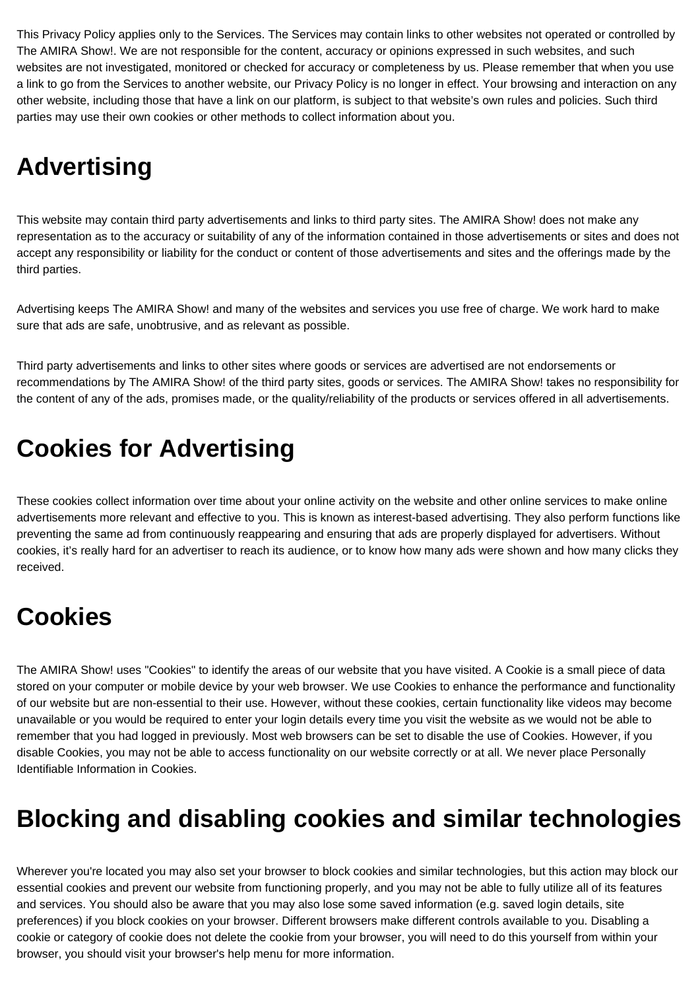This Privacy Policy applies only to the Services. The Services may contain links to other websites not operated or controlled by The AMIRA Show!. We are not responsible for the content, accuracy or opinions expressed in such websites, and such websites are not investigated, monitored or checked for accuracy or completeness by us. Please remember that when you use a link to go from the Services to another website, our Privacy Policy is no longer in effect. Your browsing and interaction on any other website, including those that have a link on our platform, is subject to that website's own rules and policies. Such third parties may use their own cookies or other methods to collect information about you.

# **Advertising**

This website may contain third party advertisements and links to third party sites. The AMIRA Show! does not make any representation as to the accuracy or suitability of any of the information contained in those advertisements or sites and does not accept any responsibility or liability for the conduct or content of those advertisements and sites and the offerings made by the third parties.

Advertising keeps The AMIRA Show! and many of the websites and services you use free of charge. We work hard to make sure that ads are safe, unobtrusive, and as relevant as possible.

Third party advertisements and links to other sites where goods or services are advertised are not endorsements or recommendations by The AMIRA Show! of the third party sites, goods or services. The AMIRA Show! takes no responsibility for the content of any of the ads, promises made, or the quality/reliability of the products or services offered in all advertisements.

## **Cookies for Advertising**

These cookies collect information over time about your online activity on the website and other online services to make online advertisements more relevant and effective to you. This is known as interest-based advertising. They also perform functions like preventing the same ad from continuously reappearing and ensuring that ads are properly displayed for advertisers. Without cookies, it's really hard for an advertiser to reach its audience, or to know how many ads were shown and how many clicks they received.

## **Cookies**

The AMIRA Show! uses "Cookies" to identify the areas of our website that you have visited. A Cookie is a small piece of data stored on your computer or mobile device by your web browser. We use Cookies to enhance the performance and functionality of our website but are non-essential to their use. However, without these cookies, certain functionality like videos may become unavailable or you would be required to enter your login details every time you visit the website as we would not be able to remember that you had logged in previously. Most web browsers can be set to disable the use of Cookies. However, if you disable Cookies, you may not be able to access functionality on our website correctly or at all. We never place Personally Identifiable Information in Cookies.

## **Blocking and disabling cookies and similar technologies**

Wherever you're located you may also set your browser to block cookies and similar technologies, but this action may block our essential cookies and prevent our website from functioning properly, and you may not be able to fully utilize all of its features and services. You should also be aware that you may also lose some saved information (e.g. saved login details, site preferences) if you block cookies on your browser. Different browsers make different controls available to you. Disabling a cookie or category of cookie does not delete the cookie from your browser, you will need to do this yourself from within your browser, you should visit your browser's help menu for more information.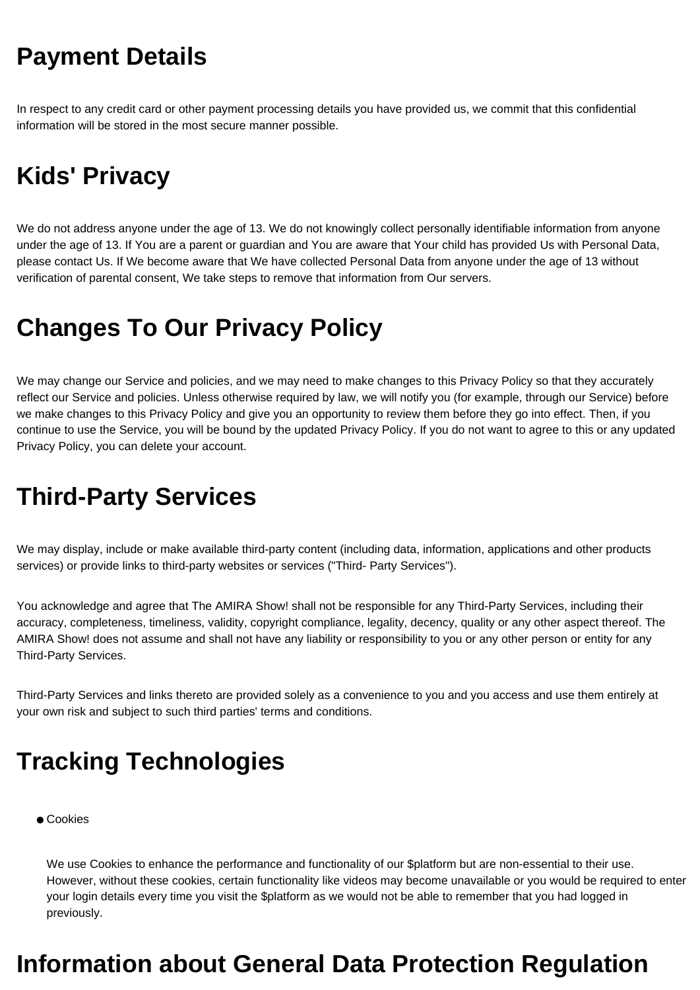## **Payment Details**

In respect to any credit card or other payment processing details you have provided us, we commit that this confidential information will be stored in the most secure manner possible.

## **Kids' Privacy**

We do not address anyone under the age of 13. We do not knowingly collect personally identifiable information from anyone under the age of 13. If You are a parent or guardian and You are aware that Your child has provided Us with Personal Data, please contact Us. If We become aware that We have collected Personal Data from anyone under the age of 13 without verification of parental consent, We take steps to remove that information from Our servers.

#### **Changes To Our Privacy Policy**

We may change our Service and policies, and we may need to make changes to this Privacy Policy so that they accurately reflect our Service and policies. Unless otherwise required by law, we will notify you (for example, through our Service) before we make changes to this Privacy Policy and give you an opportunity to review them before they go into effect. Then, if you continue to use the Service, you will be bound by the updated Privacy Policy. If you do not want to agree to this or any updated Privacy Policy, you can delete your account.

## **Third-Party Services**

We may display, include or make available third-party content (including data, information, applications and other products services) or provide links to third-party websites or services ("Third- Party Services").

You acknowledge and agree that The AMIRA Show! shall not be responsible for any Third-Party Services, including their accuracy, completeness, timeliness, validity, copyright compliance, legality, decency, quality or any other aspect thereof. The AMIRA Show! does not assume and shall not have any liability or responsibility to you or any other person or entity for any Third-Party Services.

Third-Party Services and links thereto are provided solely as a convenience to you and you access and use them entirely at your own risk and subject to such third parties' terms and conditions.

## **Tracking Technologies**

● Cookies

We use Cookies to enhance the performance and functionality of our \$platform but are non-essential to their use. However, without these cookies, certain functionality like videos may become unavailable or you would be required to enter your login details every time you visit the \$platform as we would not be able to remember that you had logged in previously.

#### **Information about General Data Protection Regulation**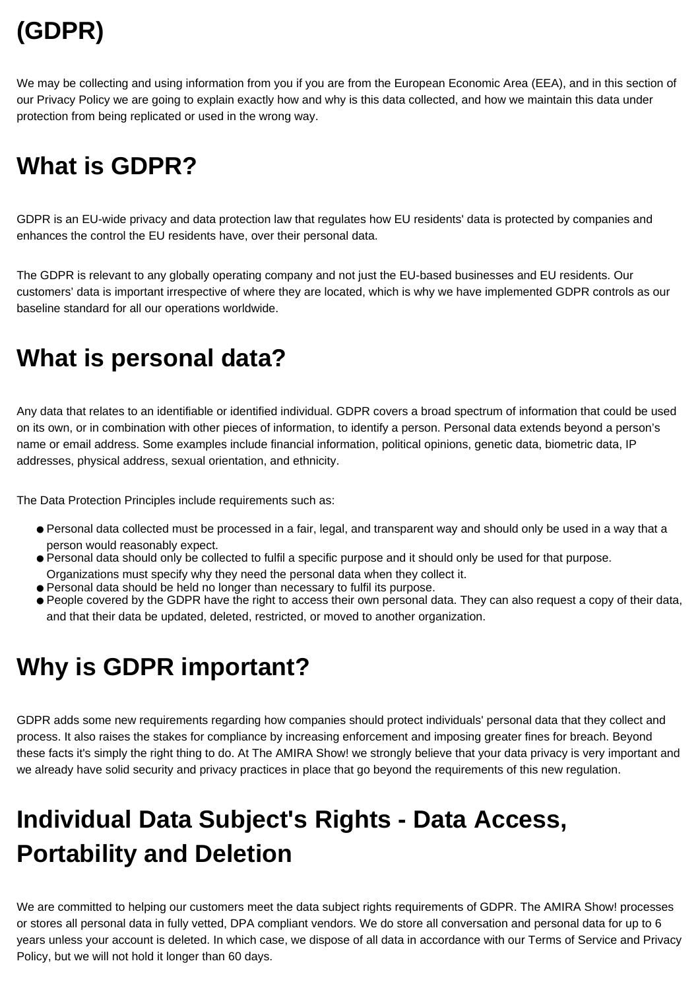# **(GDPR)**

We may be collecting and using information from you if you are from the European Economic Area (EEA), and in this section of our Privacy Policy we are going to explain exactly how and why is this data collected, and how we maintain this data under protection from being replicated or used in the wrong way.

## **What is GDPR?**

GDPR is an EU-wide privacy and data protection law that regulates how EU residents' data is protected by companies and enhances the control the EU residents have, over their personal data.

The GDPR is relevant to any globally operating company and not just the EU-based businesses and EU residents. Our customers' data is important irrespective of where they are located, which is why we have implemented GDPR controls as our baseline standard for all our operations worldwide.

#### **What is personal data?**

Any data that relates to an identifiable or identified individual. GDPR covers a broad spectrum of information that could be used on its own, or in combination with other pieces of information, to identify a person. Personal data extends beyond a person's name or email address. Some examples include financial information, political opinions, genetic data, biometric data, IP addresses, physical address, sexual orientation, and ethnicity.

The Data Protection Principles include requirements such as:

- Personal data collected must be processed in a fair, legal, and transparent way and should only be used in a way that a person would reasonably expect.
- Personal data should only be collected to fulfil a specific purpose and it should only be used for that purpose. Organizations must specify why they need the personal data when they collect it.
- Personal data should be held no longer than necessary to fulfil its purpose.
- People covered by the GDPR have the right to access their own personal data. They can also request a copy of their data, and that their data be updated, deleted, restricted, or moved to another organization.

## **Why is GDPR important?**

GDPR adds some new requirements regarding how companies should protect individuals' personal data that they collect and process. It also raises the stakes for compliance by increasing enforcement and imposing greater fines for breach. Beyond these facts it's simply the right thing to do. At The AMIRA Show! we strongly believe that your data privacy is very important and we already have solid security and privacy practices in place that go beyond the requirements of this new regulation.

# **Individual Data Subject's Rights - Data Access, Portability and Deletion**

We are committed to helping our customers meet the data subject rights requirements of GDPR. The AMIRA Show! processes or stores all personal data in fully vetted, DPA compliant vendors. We do store all conversation and personal data for up to 6 years unless your account is deleted. In which case, we dispose of all data in accordance with our Terms of Service and Privacy Policy, but we will not hold it longer than 60 days.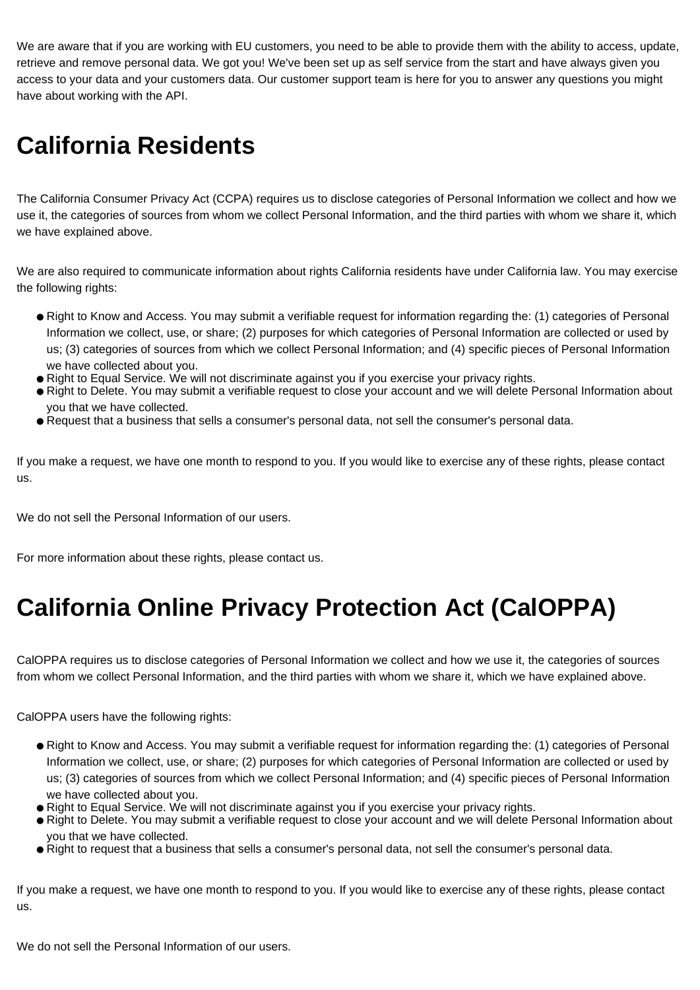We are aware that if you are working with EU customers, you need to be able to provide them with the ability to access, update, retrieve and remove personal data. We got you! We've been set up as self service from the start and have always given you access to your data and your customers data. Our customer support team is here for you to answer any questions you might have about working with the API.

## **California Residents**

The California Consumer Privacy Act (CCPA) requires us to disclose categories of Personal Information we collect and how we use it, the categories of sources from whom we collect Personal Information, and the third parties with whom we share it, which we have explained above.

We are also required to communicate information about rights California residents have under California law. You may exercise the following rights:

- Right to Know and Access. You may submit a verifiable request for information regarding the: (1) categories of Personal Information we collect, use, or share; (2) purposes for which categories of Personal Information are collected or used by us; (3) categories of sources from which we collect Personal Information; and (4) specific pieces of Personal Information we have collected about you.
- Right to Equal Service. We will not discriminate against you if you exercise your privacy rights.
- Right to Delete. You may submit a verifiable request to close your account and we will delete Personal Information about you that we have collected.
- Request that a business that sells a consumer's personal data, not sell the consumer's personal data.

If you make a request, we have one month to respond to you. If you would like to exercise any of these rights, please contact us.

We do not sell the Personal Information of our users.

For more information about these rights, please contact us.

## **California Online Privacy Protection Act (CalOPPA)**

CalOPPA requires us to disclose categories of Personal Information we collect and how we use it, the categories of sources from whom we collect Personal Information, and the third parties with whom we share it, which we have explained above.

CalOPPA users have the following rights:

- Right to Know and Access. You may submit a verifiable request for information regarding the: (1) categories of Personal Information we collect, use, or share; (2) purposes for which categories of Personal Information are collected or used by us; (3) categories of sources from which we collect Personal Information; and (4) specific pieces of Personal Information we have collected about you.
- Right to Equal Service. We will not discriminate against you if you exercise your privacy rights.
- Right to Delete. You may submit a verifiable request to close your account and we will delete Personal Information about you that we have collected.
- Right to request that a business that sells a consumer's personal data, not sell the consumer's personal data.

If you make a request, we have one month to respond to you. If you would like to exercise any of these rights, please contact us.

We do not sell the Personal Information of our users.